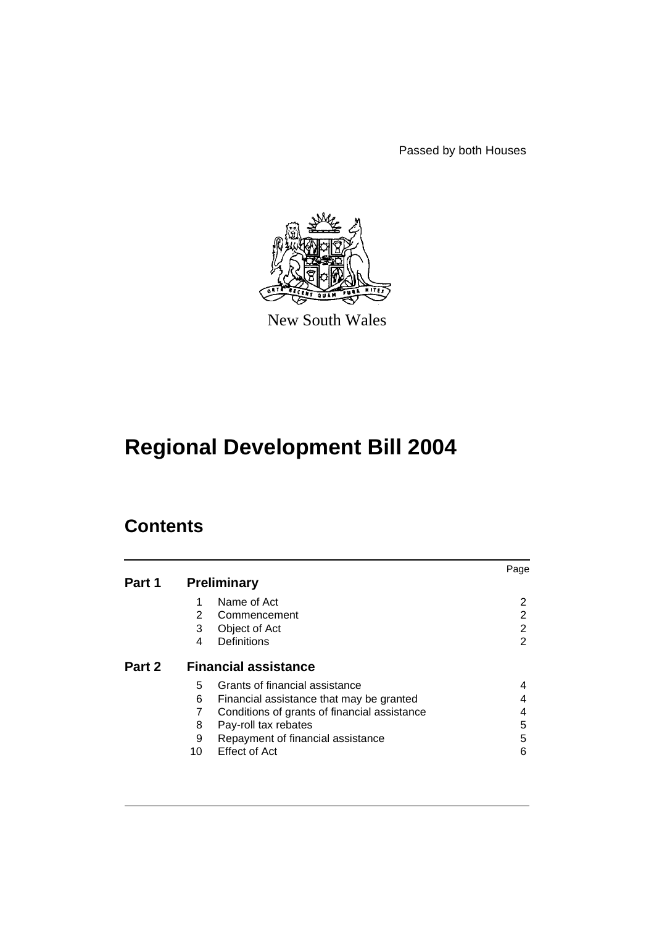Passed by both Houses



New South Wales

# **Regional Development Bill 2004**

## **Contents**

|        |                                                   | Page |
|--------|---------------------------------------------------|------|
| Part 1 | <b>Preliminary</b>                                |      |
|        | Name of Act<br>1                                  | 2    |
|        | 2<br>Commencement                                 | 2    |
|        | 3<br>Object of Act                                | 2    |
|        | Definitions<br>4                                  | 2    |
| Part 2 | <b>Financial assistance</b>                       |      |
|        | Grants of financial assistance<br>5               |      |
|        | 6<br>Financial assistance that may be granted     |      |
|        | Conditions of grants of financial assistance<br>7 | 4    |
|        | 8<br>Pay-roll tax rebates                         | 5    |
|        | Repayment of financial assistance<br>9            | 5    |
|        | <b>Effect of Act</b><br>10                        | 6    |
|        |                                                   |      |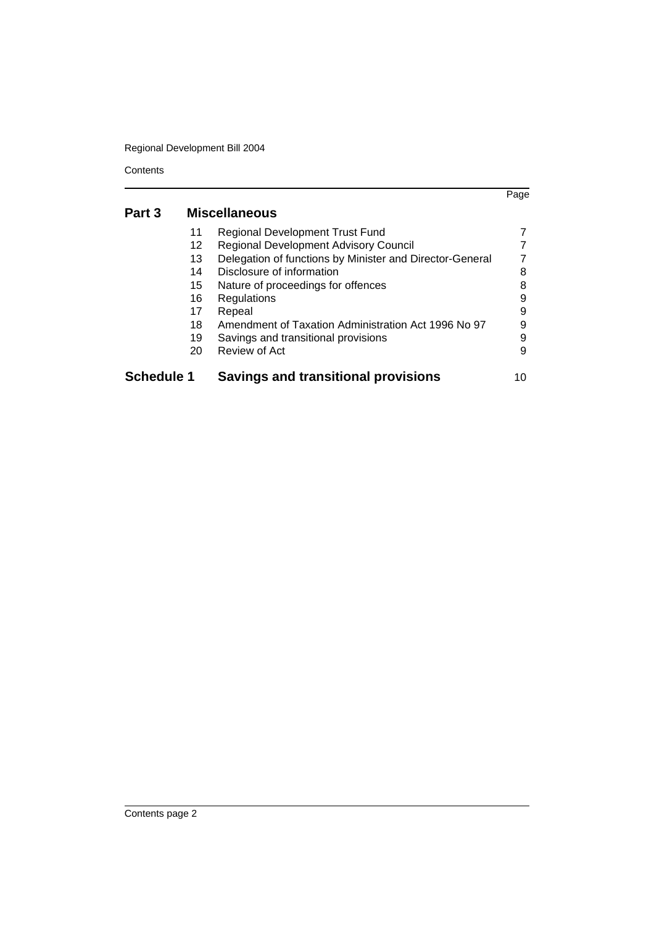Regional Development Bill 2004

**Contents** 

|                   |                      |                                                          | Page |  |
|-------------------|----------------------|----------------------------------------------------------|------|--|
| Part 3            | <b>Miscellaneous</b> |                                                          |      |  |
|                   | 11                   | <b>Regional Development Trust Fund</b>                   |      |  |
|                   | 12                   | <b>Regional Development Advisory Council</b>             |      |  |
|                   | 13                   | Delegation of functions by Minister and Director-General |      |  |
|                   | 14                   | Disclosure of information                                | 8    |  |
|                   | 15                   | Nature of proceedings for offences                       |      |  |
|                   | 16                   | Regulations                                              | 9    |  |
|                   | 17                   | Repeal                                                   | 9    |  |
|                   | 18                   | Amendment of Taxation Administration Act 1996 No 97      | 9    |  |
|                   | 19                   | Savings and transitional provisions                      | 9    |  |
|                   | 20                   | Review of Act                                            | 9    |  |
| <b>Schedule 1</b> |                      | <b>Savings and transitional provisions</b>               | 10   |  |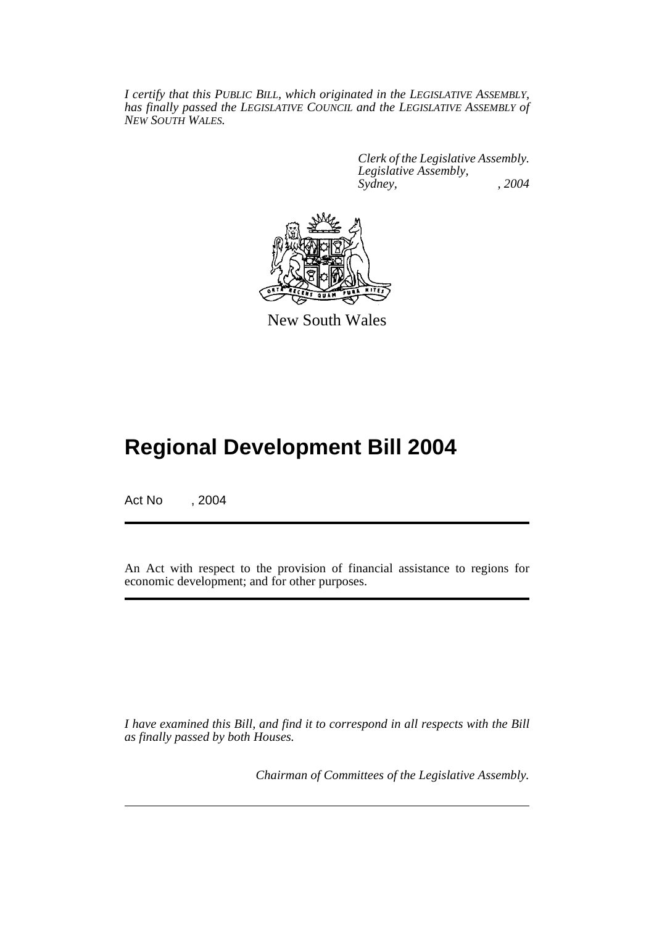*I certify that this PUBLIC BILL, which originated in the LEGISLATIVE ASSEMBLY, has finally passed the LEGISLATIVE COUNCIL and the LEGISLATIVE ASSEMBLY of NEW SOUTH WALES.*

> *Clerk of the Legislative Assembly. Legislative Assembly, Sydney, , 2004*



New South Wales

## **Regional Development Bill 2004**

Act No , 2004

An Act with respect to the provision of financial assistance to regions for economic development; and for other purposes.

*I have examined this Bill, and find it to correspond in all respects with the Bill as finally passed by both Houses.*

*Chairman of Committees of the Legislative Assembly.*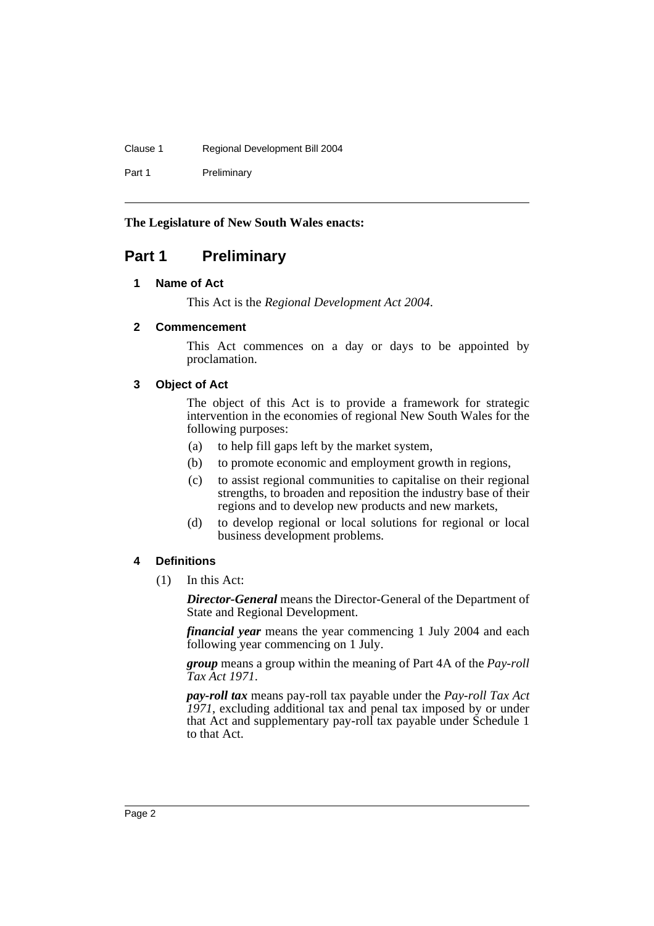#### Clause 1 Regional Development Bill 2004

Part 1 Preliminary

#### **The Legislature of New South Wales enacts:**

## **Part 1 Preliminary**

#### **1 Name of Act**

This Act is the *Regional Development Act 2004*.

#### **2 Commencement**

This Act commences on a day or days to be appointed by proclamation.

#### **3 Object of Act**

The object of this Act is to provide a framework for strategic intervention in the economies of regional New South Wales for the following purposes:

- (a) to help fill gaps left by the market system,
- (b) to promote economic and employment growth in regions,
- (c) to assist regional communities to capitalise on their regional strengths, to broaden and reposition the industry base of their regions and to develop new products and new markets,
- (d) to develop regional or local solutions for regional or local business development problems.

#### **4 Definitions**

(1) In this Act:

*Director-General* means the Director-General of the Department of State and Regional Development.

*financial year* means the year commencing 1 July 2004 and each following year commencing on 1 July.

*group* means a group within the meaning of Part 4A of the *Pay-roll Tax Act 1971*.

*pay-roll tax* means pay-roll tax payable under the *Pay-roll Tax Act 1971*, excluding additional tax and penal tax imposed by or under that Act and supplementary pay-roll tax payable under Schedule 1 to that Act.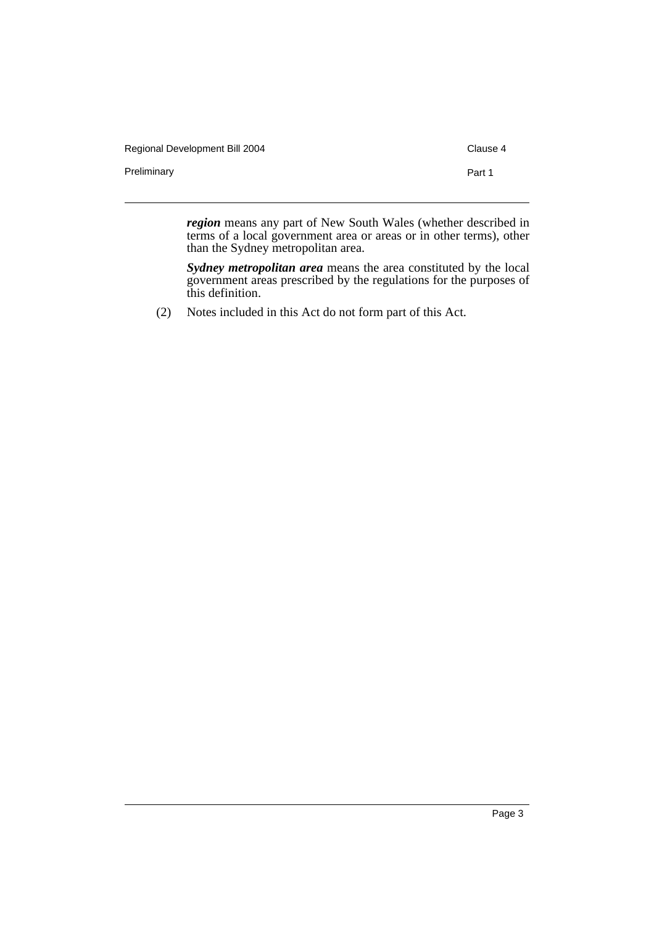| Regional Development Bill 2004 |        |  |
|--------------------------------|--------|--|
| Preliminary                    | Part 1 |  |
|                                |        |  |

*region* means any part of New South Wales (whether described in terms of a local government area or areas or in other terms), other than the Sydney metropolitan area.

*Sydney metropolitan area* means the area constituted by the local government areas prescribed by the regulations for the purposes of this definition.

(2) Notes included in this Act do not form part of this Act.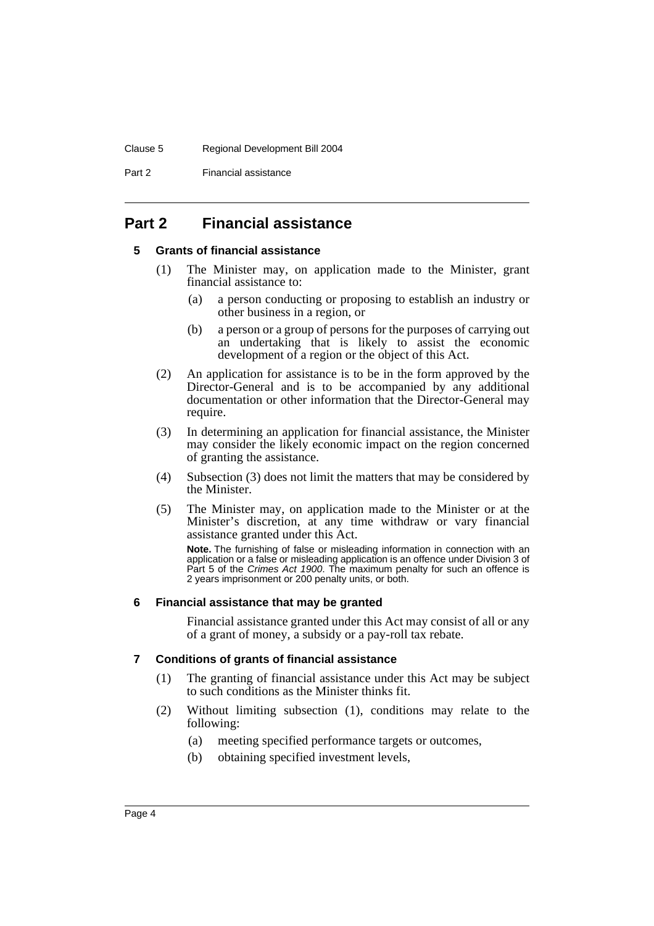#### Clause 5 Regional Development Bill 2004

Part 2 Financial assistance

## **Part 2 Financial assistance**

#### **5 Grants of financial assistance**

- (1) The Minister may, on application made to the Minister, grant financial assistance to:
	- (a) a person conducting or proposing to establish an industry or other business in a region, or
	- (b) a person or a group of persons for the purposes of carrying out an undertaking that is likely to assist the economic development of a region or the object of this Act.
- (2) An application for assistance is to be in the form approved by the Director-General and is to be accompanied by any additional documentation or other information that the Director-General may require.
- (3) In determining an application for financial assistance, the Minister may consider the likely economic impact on the region concerned of granting the assistance.
- (4) Subsection (3) does not limit the matters that may be considered by the Minister.
- (5) The Minister may, on application made to the Minister or at the Minister's discretion, at any time withdraw or vary financial assistance granted under this Act.

**Note.** The furnishing of false or misleading information in connection with an application or a false or misleading application is an offence under Division 3 of Part 5 of the *Crimes Act 1900*. The maximum penalty for such an offence is 2 years imprisonment or 200 penalty units, or both.

#### **6 Financial assistance that may be granted**

Financial assistance granted under this Act may consist of all or any of a grant of money, a subsidy or a pay-roll tax rebate.

#### **7 Conditions of grants of financial assistance**

- (1) The granting of financial assistance under this Act may be subject to such conditions as the Minister thinks fit.
- (2) Without limiting subsection (1), conditions may relate to the following:
	- (a) meeting specified performance targets or outcomes,
	- (b) obtaining specified investment levels,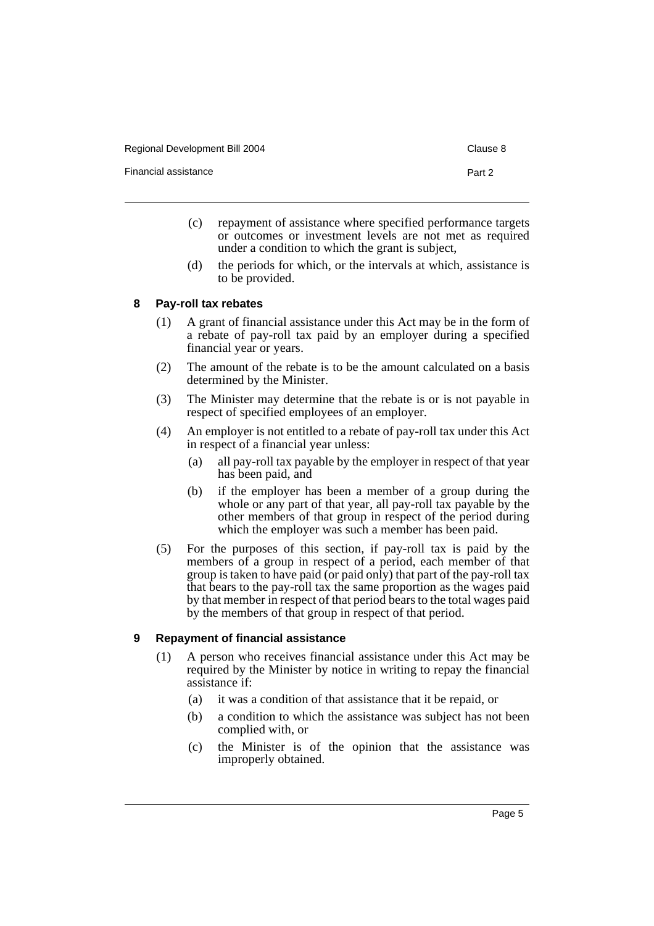| Regional Development Bill 2004 | Clause 8 |
|--------------------------------|----------|
|                                |          |

Financial assistance **Part 2** and 2

- (c) repayment of assistance where specified performance targets or outcomes or investment levels are not met as required under a condition to which the grant is subject,
- (d) the periods for which, or the intervals at which, assistance is to be provided.

#### **8 Pay-roll tax rebates**

- (1) A grant of financial assistance under this Act may be in the form of a rebate of pay-roll tax paid by an employer during a specified financial year or years.
- (2) The amount of the rebate is to be the amount calculated on a basis determined by the Minister.
- (3) The Minister may determine that the rebate is or is not payable in respect of specified employees of an employer.
- (4) An employer is not entitled to a rebate of pay-roll tax under this Act in respect of a financial year unless:
	- (a) all pay-roll tax payable by the employer in respect of that year has been paid, and
	- (b) if the employer has been a member of a group during the whole or any part of that year, all pay-roll tax payable by the other members of that group in respect of the period during which the employer was such a member has been paid.
- (5) For the purposes of this section, if pay-roll tax is paid by the members of a group in respect of a period, each member of that group is taken to have paid (or paid only) that part of the pay-roll tax that bears to the pay-roll tax the same proportion as the wages paid by that member in respect of that period bears to the total wages paid by the members of that group in respect of that period.

#### **9 Repayment of financial assistance**

- (1) A person who receives financial assistance under this Act may be required by the Minister by notice in writing to repay the financial assistance if:
	- (a) it was a condition of that assistance that it be repaid, or
	- (b) a condition to which the assistance was subject has not been complied with, or
	- (c) the Minister is of the opinion that the assistance was improperly obtained.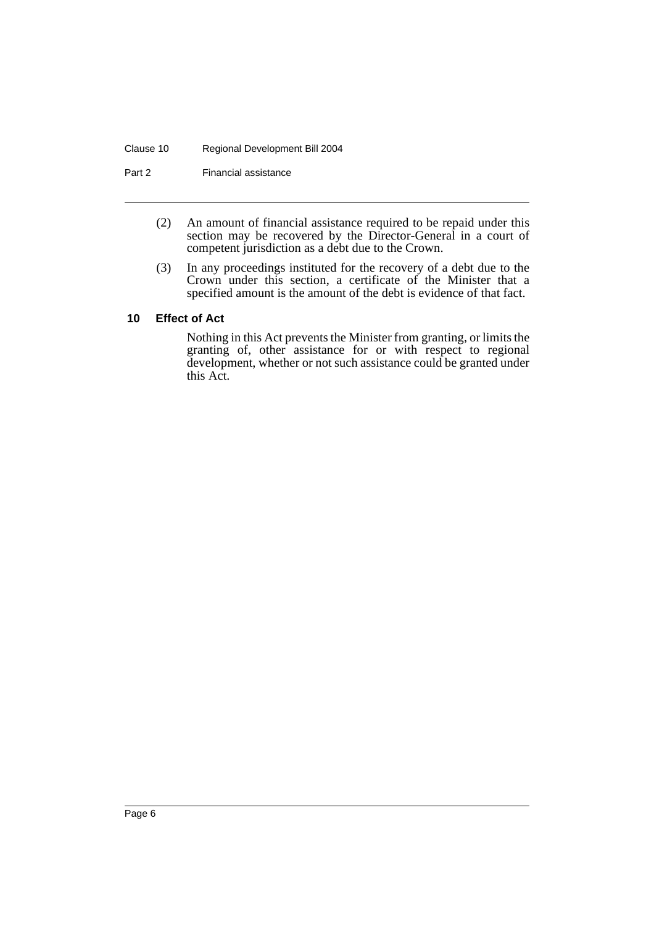#### Clause 10 Regional Development Bill 2004

Part 2 Financial assistance

- (2) An amount of financial assistance required to be repaid under this section may be recovered by the Director-General in a court of competent jurisdiction as a debt due to the Crown.
- (3) In any proceedings instituted for the recovery of a debt due to the Crown under this section, a certificate of the Minister that a specified amount is the amount of the debt is evidence of that fact.

#### **10 Effect of Act**

Nothing in this Act prevents the Minister from granting, or limits the granting of, other assistance for or with respect to regional development, whether or not such assistance could be granted under this Act.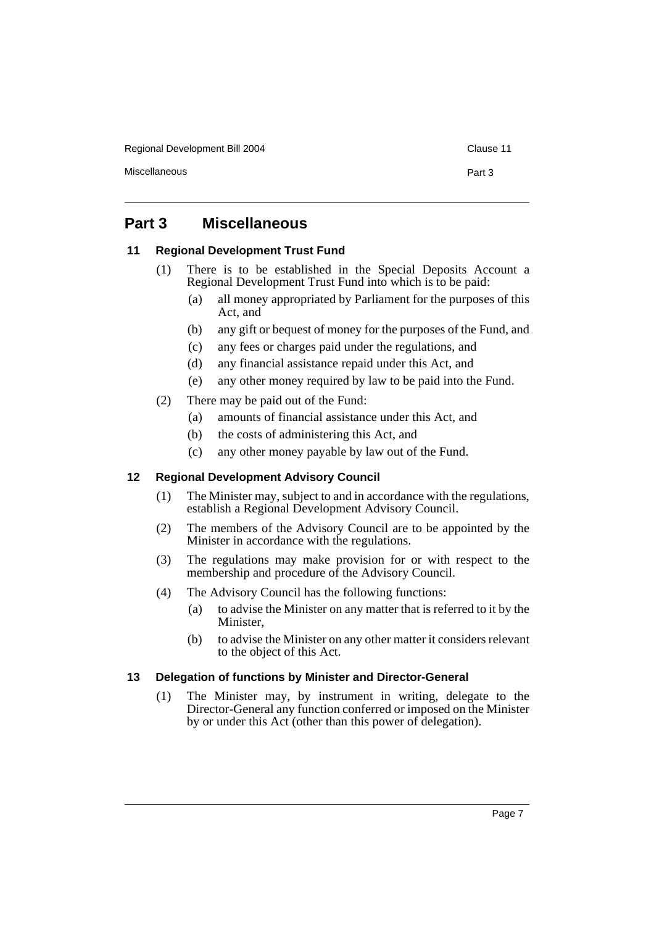Regional Development Bill 2004 Clause 11

Miscellaneous **Part 3** 

## **Part 3 Miscellaneous**

#### **11 Regional Development Trust Fund**

- (1) There is to be established in the Special Deposits Account a Regional Development Trust Fund into which is to be paid:
	- (a) all money appropriated by Parliament for the purposes of this Act, and
	- (b) any gift or bequest of money for the purposes of the Fund, and
	- (c) any fees or charges paid under the regulations, and
	- (d) any financial assistance repaid under this Act, and
	- (e) any other money required by law to be paid into the Fund.
- (2) There may be paid out of the Fund:
	- (a) amounts of financial assistance under this Act, and
	- (b) the costs of administering this Act, and
	- (c) any other money payable by law out of the Fund.

#### **12 Regional Development Advisory Council**

- (1) The Minister may, subject to and in accordance with the regulations, establish a Regional Development Advisory Council.
- (2) The members of the Advisory Council are to be appointed by the Minister in accordance with the regulations.
- (3) The regulations may make provision for or with respect to the membership and procedure of the Advisory Council.
- (4) The Advisory Council has the following functions:
	- (a) to advise the Minister on any matter that is referred to it by the Minister,
	- (b) to advise the Minister on any other matter it considers relevant to the object of this Act.

#### **13 Delegation of functions by Minister and Director-General**

(1) The Minister may, by instrument in writing, delegate to the Director-General any function conferred or imposed on the Minister by or under this Act (other than this power of delegation).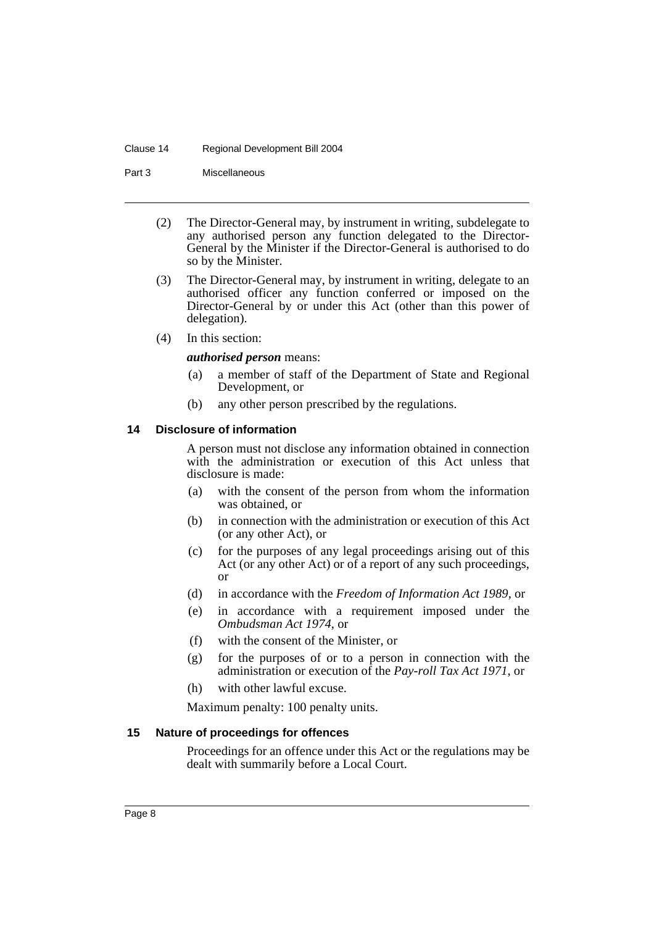#### Clause 14 Regional Development Bill 2004

Part 3 Miscellaneous

- (2) The Director-General may, by instrument in writing, subdelegate to any authorised person any function delegated to the Director-General by the Minister if the Director-General is authorised to do so by the Minister.
- (3) The Director-General may, by instrument in writing, delegate to an authorised officer any function conferred or imposed on the Director-General by or under this Act (other than this power of delegation).
- (4) In this section:

#### *authorised person* means:

- (a) a member of staff of the Department of State and Regional Development, or
- (b) any other person prescribed by the regulations.

#### **14 Disclosure of information**

A person must not disclose any information obtained in connection with the administration or execution of this Act unless that disclosure is made:

- (a) with the consent of the person from whom the information was obtained, or
- (b) in connection with the administration or execution of this Act (or any other Act), or
- (c) for the purposes of any legal proceedings arising out of this Act (or any other Act) or of a report of any such proceedings, or
- (d) in accordance with the *Freedom of Information Act 1989*, or
- (e) in accordance with a requirement imposed under the *Ombudsman Act 1974*, or
- (f) with the consent of the Minister, or
- (g) for the purposes of or to a person in connection with the administration or execution of the *Pay-roll Tax Act 1971*, or
- (h) with other lawful excuse.

Maximum penalty: 100 penalty units.

#### **15 Nature of proceedings for offences**

Proceedings for an offence under this Act or the regulations may be dealt with summarily before a Local Court.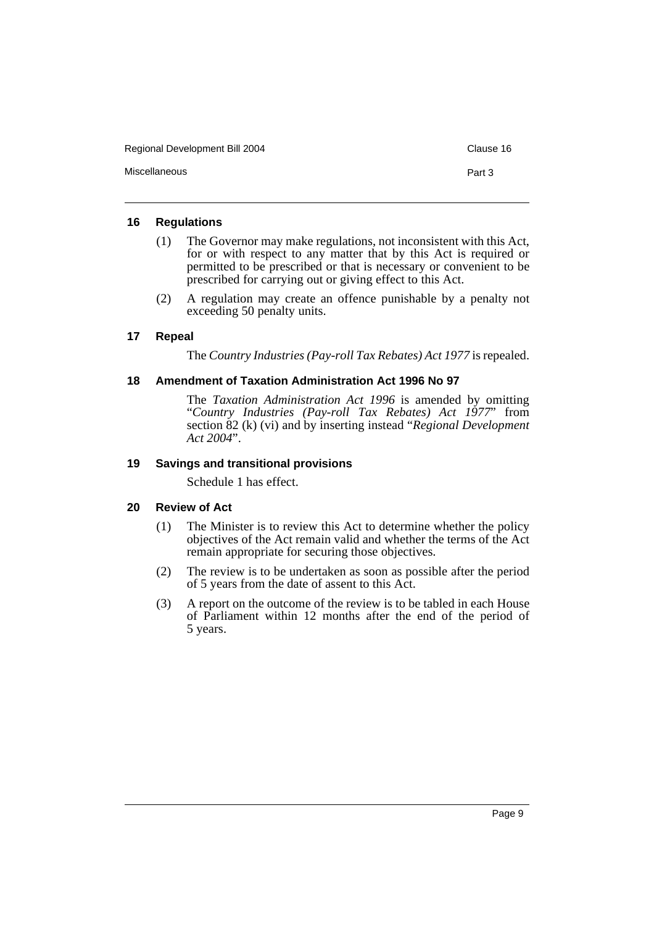| Regional Development Bill 2004 |        |  |
|--------------------------------|--------|--|
| Miscellaneous                  | Part 3 |  |

#### **16 Regulations**

- (1) The Governor may make regulations, not inconsistent with this Act, for or with respect to any matter that by this Act is required or permitted to be prescribed or that is necessary or convenient to be prescribed for carrying out or giving effect to this Act.
- (2) A regulation may create an offence punishable by a penalty not exceeding 50 penalty units.

#### **17 Repeal**

The *Country Industries (Pay-roll Tax Rebates) Act 1977* is repealed.

#### **18 Amendment of Taxation Administration Act 1996 No 97**

The *Taxation Administration Act 1996* is amended by omitting "*Country Industries (Pay-roll Tax Rebates) Act 1977*" from section 82 (k) (vi) and by inserting instead "*Regional Development Act 2004*".

#### **19 Savings and transitional provisions**

Schedule 1 has effect.

#### **20 Review of Act**

- (1) The Minister is to review this Act to determine whether the policy objectives of the Act remain valid and whether the terms of the Act remain appropriate for securing those objectives.
- (2) The review is to be undertaken as soon as possible after the period of 5 years from the date of assent to this Act.
- (3) A report on the outcome of the review is to be tabled in each House of Parliament within 12 months after the end of the period of 5 years.